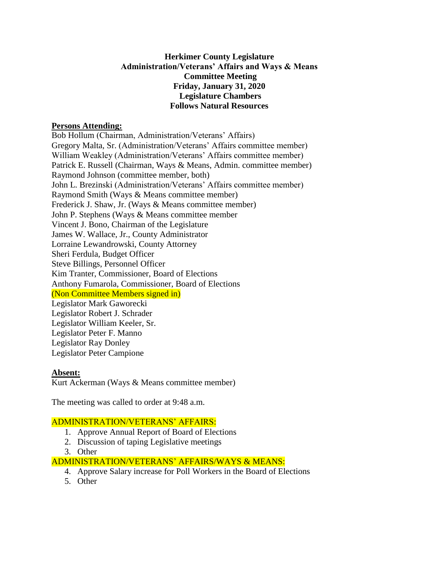## **Herkimer County Legislature Administration/Veterans' Affairs and Ways & Means Committee Meeting Friday, January 31, 2020 Legislature Chambers Follows Natural Resources**

### **Persons Attending:**

Bob Hollum (Chairman, Administration/Veterans' Affairs) Gregory Malta, Sr. (Administration/Veterans' Affairs committee member) William Weakley (Administration/Veterans' Affairs committee member) Patrick E. Russell (Chairman, Ways & Means, Admin. committee member) Raymond Johnson (committee member, both) John L. Brezinski (Administration/Veterans' Affairs committee member) Raymond Smith (Ways & Means committee member) Frederick J. Shaw, Jr. (Ways & Means committee member) John P. Stephens (Ways & Means committee member Vincent J. Bono, Chairman of the Legislature James W. Wallace, Jr., County Administrator Lorraine Lewandrowski, County Attorney Sheri Ferdula, Budget Officer Steve Billings, Personnel Officer Kim Tranter, Commissioner, Board of Elections Anthony Fumarola, Commissioner, Board of Elections (Non Committee Members signed in) Legislator Mark Gaworecki Legislator Robert J. Schrader Legislator William Keeler, Sr. Legislator Peter F. Manno Legislator Ray Donley Legislator Peter Campione

#### **Absent:**

Kurt Ackerman (Ways & Means committee member)

The meeting was called to order at 9:48 a.m.

## ADMINISTRATION/VETERANS' AFFAIRS:

- 1. Approve Annual Report of Board of Elections
- 2. Discussion of taping Legislative meetings
- 3. Other

ADMINISTRATION/VETERANS' AFFAIRS/WAYS & MEANS:

- 4. Approve Salary increase for Poll Workers in the Board of Elections
- 5. Other